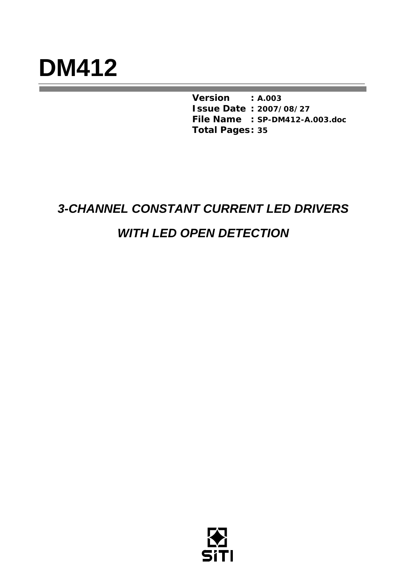# **DM412**

*Version* **:** *A.003 Issue Date* **:** *2007/08/27 File Name* **:** *SP-DM412-A.003.doc Total Pages* **:** *35* 

# *3-CHANNEL CONSTANT CURRENT LED DRIVERS*

# *WITH LED OPEN DETECTION*

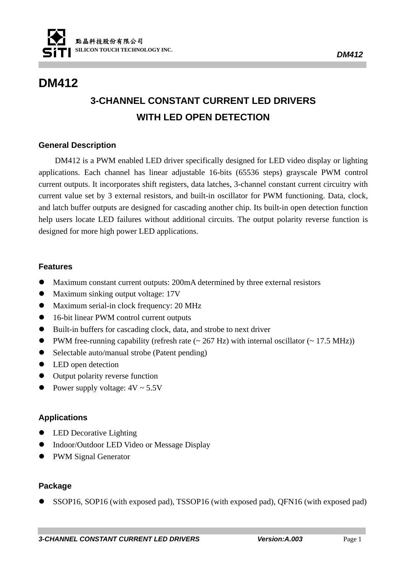

# **DM412**

# **3-CHANNEL CONSTANT CURRENT LED DRIVERS WITH LED OPEN DETECTION**

#### **General Description**

DM412 is a PWM enabled LED driver specifically designed for LED video display or lighting applications. Each channel has linear adjustable 16-bits (65536 steps) grayscale PWM control current outputs. It incorporates shift registers, data latches, 3-channel constant current circuitry with current value set by 3 external resistors, and built-in oscillator for PWM functioning. Data, clock, and latch buffer outputs are designed for cascading another chip. Its built-in open detection function help users locate LED failures without additional circuits. The output polarity reverse function is designed for more high power LED applications.

#### **Features**

- Maximum constant current outputs: 200mA determined by three external resistors
- Maximum sinking output voltage: 17V
- Maximum serial-in clock frequency: 20 MHz
- 16-bit linear PWM control current outputs
- Built-in buffers for cascading clock, data, and strobe to next driver
- PWM free-running capability (refresh rate  $\sim$  267 Hz) with internal oscillator ( $\sim$  17.5 MHz))
- Selectable auto/manual strobe (Patent pending)
- LED open detection
- $\bullet$  Output polarity reverse function
- Power supply voltage:  $4V \sim 5.5V$

#### **Applications**

- LED Decorative Lighting
- $\bullet$  Indoor/Outdoor LED Video or Message Display
- PWM Signal Generator

#### **Package**

z SSOP16, SOP16 (with exposed pad), TSSOP16 (with exposed pad), QFN16 (with exposed pad)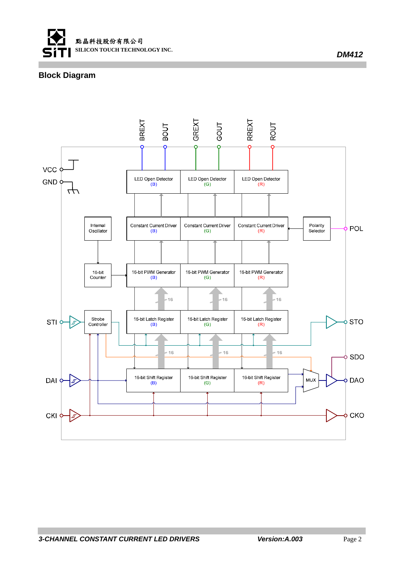

#### **Block Diagram**

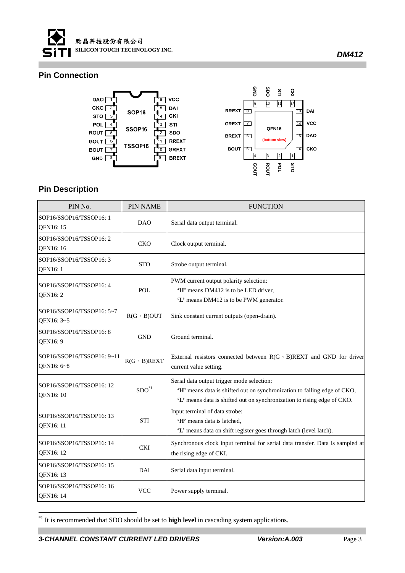

#### **Pin Connection**





#### **Pin Description**

| PIN No.                                  | <b>PIN NAME</b>    | <b>FUNCTION</b>                                                                                                                                                                                   |  |  |
|------------------------------------------|--------------------|---------------------------------------------------------------------------------------------------------------------------------------------------------------------------------------------------|--|--|
| SOP16/SSOP16/TSSOP16: 1<br>QFN16: 15     | <b>DAO</b>         | Serial data output terminal.                                                                                                                                                                      |  |  |
| SOP16/SSOP16/TSSOP16: 2<br>QFN16: 16     | CKO                | Clock output terminal.                                                                                                                                                                            |  |  |
| SOP16/SSOP16/TSSOP16: 3<br>QFN16: 1      | <b>STO</b>         | Strobe output terminal.                                                                                                                                                                           |  |  |
| SOP16/SSOP16/TSSOP16: 4<br>QFN16: 2      | <b>POL</b>         | PWM current output polarity selection:<br>'H' means DM412 is to be LED driver,<br>'L' means DM412 is to be PWM generator.                                                                         |  |  |
| SOP16/SSOP16/TSSOP16: 5~7<br>QFN16: 3~5  | $R(G \cdot B)$ OUT | Sink constant current outputs (open-drain).                                                                                                                                                       |  |  |
| SOP16/SSOP16/TSSOP16: 8<br>QFN16: 9      | <b>GND</b>         | Ground terminal.                                                                                                                                                                                  |  |  |
| SOP16/SSOP16/TSSOP16: 9~11<br>QFN16: 6~8 | $R(G \cdot B)REXT$ | External resistors connected between $R(G \cdot B)$ REXT and GND for driver<br>current value setting.                                                                                             |  |  |
| SOP16/SSOP16/TSSOP16: 12<br>QFN16: 10    | SDO <sup>1</sup>   | Serial data output trigger mode selection:<br>'H' means data is shifted out on synchronization to falling edge of CKO,<br>'L' means data is shifted out on synchronization to rising edge of CKO. |  |  |
| SOP16/SSOP16/TSSOP16: 13<br>QFN16: 11    | <b>STI</b>         | Input terminal of data strobe:<br>'H' means data is latched,<br>'L' means data on shift register goes through latch (level latch).                                                                |  |  |
| SOP16/SSOP16/TSSOP16: 14<br>QFN16: 12    | <b>CKI</b>         | Synchronous clock input terminal for serial data transfer. Data is sampled at<br>the rising edge of CKI.                                                                                          |  |  |
| SOP16/SSOP16/TSSOP16: 15<br>QFN16: 13    | DAI                | Serial data input terminal.                                                                                                                                                                       |  |  |
| SOP16/SSOP16/TSSOP16: 16<br>QFN16: 14    | <b>VCC</b>         | Power supply terminal.                                                                                                                                                                            |  |  |

<sup>\*1</sup> It is recommended that SDO should be set to **high level** in cascading system applications.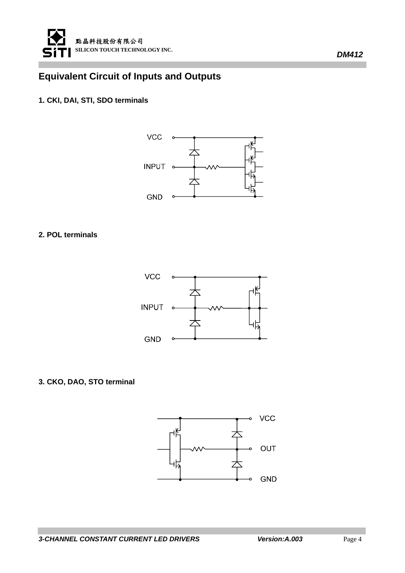

## **Equivalent Circuit of Inputs and Outputs**

#### **1. CKI, DAI, STI, SDO terminals**



#### **2. POL terminals**



#### **3. CKO, DAO, STO terminal**

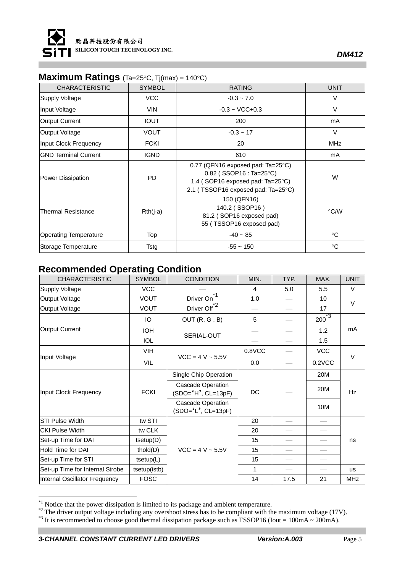

*DM412* 

## **Maximum Ratings** (Ta=25°C, Tj(max) = 140°C)

| <b>CHARACTERISTIC</b>        | <b>SYMBOL</b> | <b>RATING</b>                                                                                                                                      | <b>UNIT</b>     |
|------------------------------|---------------|----------------------------------------------------------------------------------------------------------------------------------------------------|-----------------|
| <b>Supply Voltage</b>        | <b>VCC</b>    | $-0.3 - 7.0$                                                                                                                                       | V               |
| Input Voltage                | <b>VIN</b>    | $-0.3 - VCC + 0.3$                                                                                                                                 | $\vee$          |
| <b>Output Current</b>        | <b>IOUT</b>   | 200                                                                                                                                                | mA              |
| Output Voltage               | <b>VOUT</b>   | $-0.3 - 17$                                                                                                                                        | $\vee$          |
| Input Clock Frequency        | <b>FCKI</b>   | 20                                                                                                                                                 | <b>MHz</b>      |
| <b>GND Terminal Current</b>  | <b>IGND</b>   | 610                                                                                                                                                | mA              |
| Power Dissipation            | PD            | 0.77 (QFN16 exposed pad: Ta=25 $\degree$ C)<br>$0.82$ (SSOP16 : Ta=25°C)<br>1.4 (SOP16 exposed pad: Ta=25°C)<br>2.1 (TSSOP16 exposed pad: Ta=25°C) | W               |
| <b>Thermal Resistance</b>    | $Rth(i-a)$    | 150 (QFN16)<br>140.2 (SSOP16)<br>81.2 (SOP16 exposed pad)<br>55 (TSSOP16 exposed pad)                                                              | °C/W            |
| <b>Operating Temperature</b> | Top           | $-40 - 85$                                                                                                                                         | $^{\circ}C$     |
| Storage Temperature          | Tstg          | $-55 - 150$                                                                                                                                        | $\rm ^{\circ}C$ |

## **Recommended Operating Condition**

| <b>CHARACTERISTIC</b>           | <b>SYMBOL</b>   | <b>CONDITION</b>                                   | MIN.                            | TYP. | MAX.        | <b>UNIT</b> |  |
|---------------------------------|-----------------|----------------------------------------------------|---------------------------------|------|-------------|-------------|--|
| <b>Supply Voltage</b>           | <b>VCC</b>      |                                                    | 4                               | 5.0  | 5.5         | $\vee$      |  |
| Output Voltage                  | <b>VOUT</b>     | Driver On                                          | 1.0                             |      | 10          | $\vee$      |  |
| Output Voltage                  | <b>VOUT</b>     | Driver Off <sup>77</sup>                           | $\overbrace{\qquad \qquad }^{}$ |      | 17          |             |  |
|                                 | IO              | OUT(R, G, B)                                       | 5                               |      | $200^{1/3}$ |             |  |
| Output Current                  | <b>IOH</b>      | SERIAL-OUT                                         |                                 |      | 1.2         | mA          |  |
|                                 | <b>IOL</b>      |                                                    |                                 |      | 1.5         |             |  |
|                                 | VIH             | $VCC = 4 V ~ 5.5V$                                 | 0.8VCC                          |      | <b>VCC</b>  |             |  |
| Input Voltage                   | <b>VIL</b>      |                                                    | 0.0                             |      | $0.2$ VCC   | V           |  |
|                                 |                 | Single Chip Operation                              |                                 |      | 20M         |             |  |
| Input Clock Frequency           | <b>FCKI</b>     | <b>Cascade Operation</b><br>$(SDO = 'H', CL=13pF)$ | DC                              |      | 20M         | Hz          |  |
|                                 |                 | Cascade Operation<br>$(SDO = 'L', CL=13pF)$        |                                 |      | 10M         |             |  |
| <b>STI Pulse Width</b>          | tw STI          |                                                    | 20                              |      |             |             |  |
| <b>CKI Pulse Width</b>          | tw CLK          |                                                    | 20                              |      |             |             |  |
| Set-up Time for DAI             | $t _{setup(D)}$ |                                                    | 15                              |      |             | ns          |  |
| Hold Time for DAI               | thold(D)        | $VCC = 4 V ~ 5.5 V$                                | 15                              |      |             |             |  |
| Set-up Time for STI             | $t _{setup(L)}$ |                                                    | 15                              |      |             |             |  |
| Set-up Time for Internal Strobe | tsetup(istb)    |                                                    | 1                               |      |             | <b>us</b>   |  |
| Internal Oscillator Frequency   | <b>FOSC</b>     |                                                    | 14                              | 17.5 | 21          | <b>MHz</b>  |  |

<sup>&</sup>lt;sup>\*1</sup> Notice that the power dissipation is limited to its package and ambient temperature.

 $*$ <sup>2</sup> The driver output voltage including any overshoot stress has to be compliant with the maximum voltage (17V).

 $*$ <sup>3</sup> It is recommended to choose good thermal dissipation package such as TSSOP16 (Iout = 100mA ~ 200mA).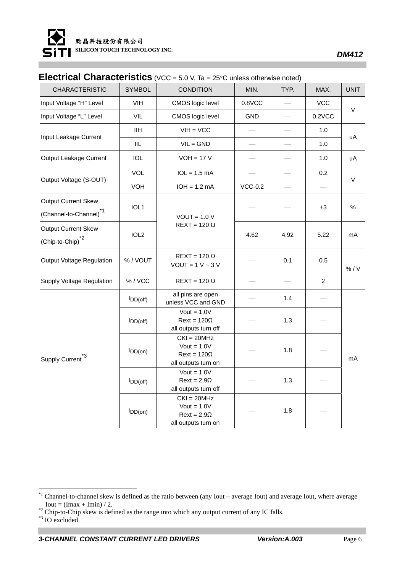

### **Electrical Characteristics** (VCC = 5.0 V, Ta = 25°C unless otherwise noted)

| <b>CHARACTERISTIC</b>                                     | <b>SYMBOL</b>    | <b>CONDITION</b>                                                            | MIN.       | TYP. | MAX.                     | <b>UNIT</b> |  |
|-----------------------------------------------------------|------------------|-----------------------------------------------------------------------------|------------|------|--------------------------|-------------|--|
| Input Voltage "H" Level                                   | VIH              | CMOS logic level                                                            | $0.8$ VCC  |      | <b>VCC</b>               |             |  |
| Input Voltage "L" Level                                   | VIL              | CMOS logic level                                                            | <b>GND</b> |      | 0.2VCC                   | $\vee$      |  |
| Input Leakage Current                                     | <b>IIH</b>       | $VIH = VCC$                                                                 |            |      | 1.0                      | uA          |  |
|                                                           | IIL              | $VIL = GND$                                                                 |            |      | 1.0                      |             |  |
| Output Leakage Current                                    | <b>IOL</b>       | $VOH = 17 V$                                                                |            |      | 1.0                      | uA          |  |
|                                                           | VOL              | $IOL = 1.5 mA$                                                              |            |      | 0.2                      | V           |  |
| Output Voltage (S-OUT)                                    | <b>VOH</b>       | $IOH = 1.2 mA$                                                              | $VCC-0.2$  |      | $\overline{\phantom{0}}$ |             |  |
| Output Current Skew<br>(Channel-to-Channel) <sup>*1</sup> | IOL1             | $VOUT = 1.0 V$                                                              |            |      | $\pm 3$                  | $\%$        |  |
| Output Current Skew<br>(Chip-to-Chip) <sup>*2</sup>       | IOL <sub>2</sub> | $REXT = 120 \Omega$                                                         | 4.62       | 4.92 | 5.22                     | mA          |  |
| Output Voltage Regulation                                 | %/VOUT           | $REXT = 120 \Omega$<br>$VOUT = 1 V - 3 V$                                   |            | 0.1  | 0.5                      | % / V       |  |
| <b>Supply Voltage Regulation</b>                          | %/VCC            | $REXT = 120 \Omega$                                                         |            |      | $\overline{2}$           |             |  |
|                                                           | $I_{DD(off)}$    | all pins are open<br>unless VCC and GND                                     |            | 1.4  |                          |             |  |
|                                                           | $I_{DD(off)}$    | Vout = $1.0V$<br>$Text = 120\Omega$<br>all outputs turn off                 |            | 1.3  |                          |             |  |
| Supply Current <sup>*3</sup>                              | $I_{DD(on)}$     | $CKI = 20MHz$<br>$Vout = 1.0V$<br>$Next = 120\Omega$<br>all outputs turn on |            | 1.8  |                          | mA          |  |
|                                                           | $I_{DD(off)}$    | Vout = $1.0V$<br>$Rext = 2.9\Omega$<br>all outputs turn off                 |            | 1.3  |                          |             |  |
|                                                           | IDD(on)          | $CKI = 20MHz$<br>$Vout = 1.0V$<br>$Rext = 2.9\Omega$<br>all outputs turn on |            | 1.8  |                          |             |  |

 $*1$  Channel-to-channel skew is defined as the ratio between (any Iout – average Iout) and average Iout, where average Iout = (Imax + Imin) / 2.<br><sup>\*2</sup> Chip-to-Chip skew is defined as the range into which any output current of any IC falls.

<sup>\*3</sup> IO excluded.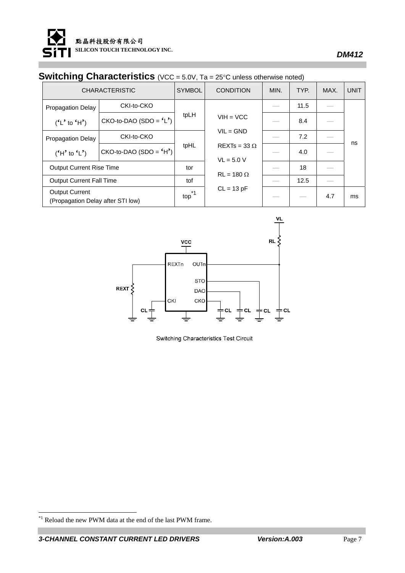

## **Switching Characteristics** (VCC = 5.0V, Ta = 25°C unless otherwise noted)

| <b>CHARACTERISTIC</b>                                      |                          | <b>SYMBOL</b> | <b>CONDITION</b>                    | MIN. | TYP. | MAX. | <b>UNIT</b> |
|------------------------------------------------------------|--------------------------|---------------|-------------------------------------|------|------|------|-------------|
| <b>Propagation Delay</b>                                   | CKI-to-CKO               |               |                                     |      | 11.5 |      |             |
| $(^{6}L^{6}$ to $^6H^{6}$ )                                | $CKO-to-DAO (SDO = 'L')$ | tpLH          | $VIH = VCC$                         |      | 8.4  |      |             |
| <b>Propagation Delay</b>                                   | CKI-to-CKO               |               | $VIL = GND$                         |      | 7.2  |      |             |
| $(H'$ to $(L')$                                            | $CKO-to-DAO (SDO = 'H')$ | tpHL          | $REXTs = 33 \Omega$<br>$VL = 5.0 V$ |      | 4.0  |      | ns          |
| <b>Output Current Rise Time</b>                            |                          | tor           |                                     |      | 18   |      |             |
| <b>Output Current Fall Time</b>                            |                          | tof           | $RL = 180 \Omega$                   |      | 12.5 |      |             |
| <b>Output Current</b><br>(Propagation Delay after STI low) |                          | $top^*1$      | $CL = 13 pF$                        |      |      | 4.7  | ms          |



Switching Characteristics Test Circuit

 $*$ <sup>1</sup> Reload the new PWM data at the end of the last PWM frame.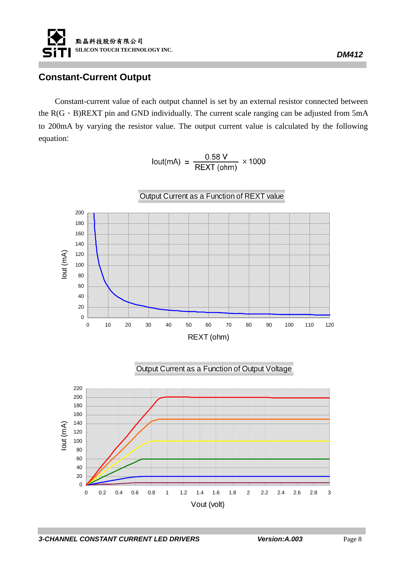

## **Constant-Current Output**

Constant-current value of each output channel is set by an external resistor connected between the  $R(G \cdot B)$ REXT pin and GND individually. The current scale ranging can be adjusted from 5mA to 200mA by varying the resistor value. The output current value is calculated by the following equation:

lout(mA)  $\simeq \frac{0.58 \text{ V}}{\text{REXT (ohm)}} \times 1000$ 

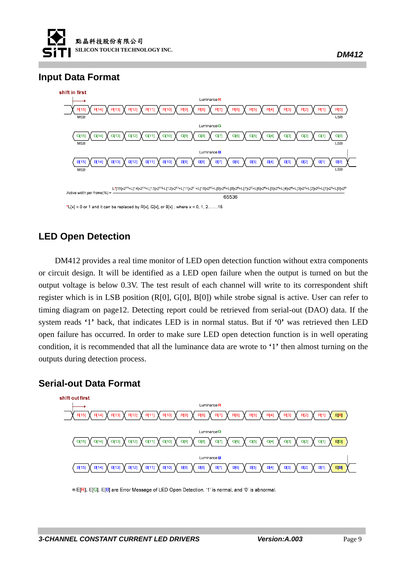



## **LED Open Detection**

DM412 provides a real time monitor of LED open detection function without extra components or circuit design. It will be identified as a LED open failure when the output is turned on but the output voltage is below 0.3V. The test result of each channel will write to its correspondent shift register which is in LSB position (R[0], G[0], B[0]) while strobe signal is active. User can refer to timing diagram on page12. Detecting report could be retrieved from serial-out (DAO) data. If the system reads **'**1**'** back, that indicates LED is in normal status. But if **'**0**'** was retrieved then LED open failure has occurred. In order to make sure LED open detection function is in well operating condition, it is recommended that all the luminance data are wrote to **'**1**'** then almost turning on the outputs during detection process.

#### **Serial-out Data Format**



\* E[R], E[G], E[B] are Error Message of LED Open Detection. '1' is normal, and '0' is abnormal.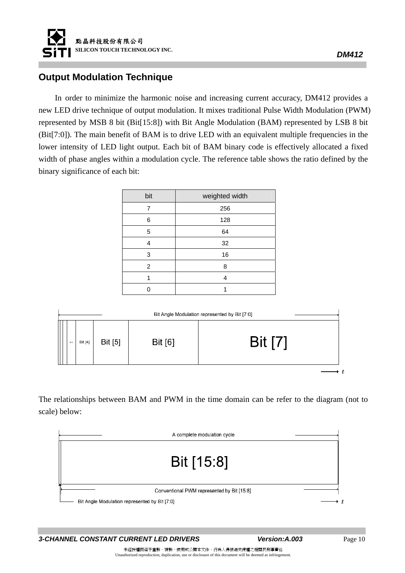

#### **Output Modulation Technique**

In order to minimize the harmonic noise and increasing current accuracy, DM412 provides a new LED drive technique of output modulation. It mixes traditional Pulse Width Modulation (PWM) represented by MSB 8 bit (Bit[15:8]) with Bit Angle Modulation (BAM) represented by LSB 8 bit (Bit[7:0]). The main benefit of BAM is to drive LED with an equivalent multiple frequencies in the lower intensity of LED light output. Each bit of BAM binary code is effectively allocated a fixed width of phase angles within a modulation cycle. The reference table shows the ratio defined by the binary significance of each bit:

| bit | weighted width |
|-----|----------------|
| 7   | 256            |
| 6   | 128            |
| 5   | 64             |
| 4   | 32             |
| 3   | 16             |
| 2   | 8              |
|     | 4              |
|     |                |

| Bit Angle Modulation represented by Bit [7:0] |         |                |         |                |  |  |
|-----------------------------------------------|---------|----------------|---------|----------------|--|--|
| 8022                                          | Bit [4] | <b>Bit</b> [5] | Bit [6] | <b>Bit [7]</b> |  |  |
|                                               |         |                |         |                |  |  |

The relationships between BAM and PWM in the time domain can be refer to the diagram (not to scale) below:



**3-CHANNEL CONSTANT CURRENT LED DRIVERS** Version: A.003 Page 10

*DM412* 

未經授權而逕予重製、複製、使用或公開本文件,行為人得被追究侵權之相關民刑事責任 Unauthorized reproduction, duplication, use or disclosure of this document will be deemed as infringement.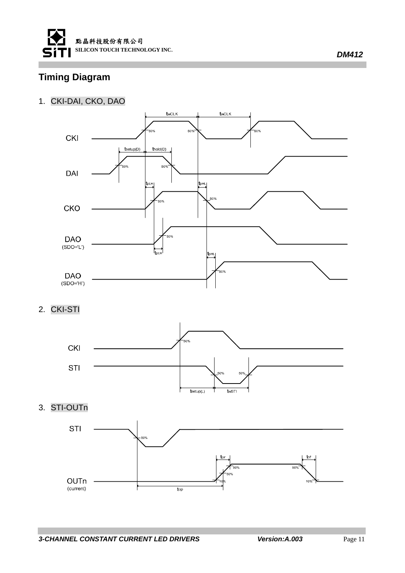

## **Timing Diagram**

#### 1. CKI-DAI, CKO, DAO



2. CKI-STI



3. STI-OUTn

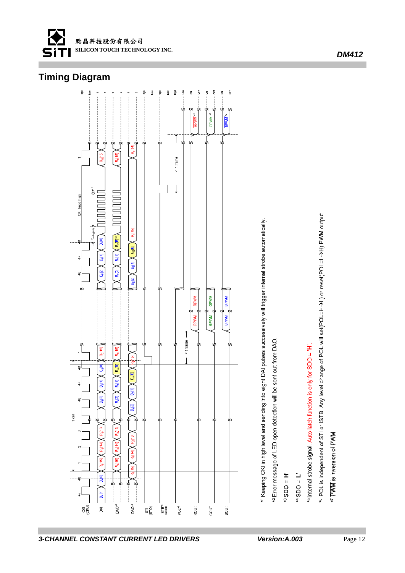

## **Timing Diagram**



<sup>KI</sup> Keeping CKI in high level and sending into eight DAI pulses successively will trigger internal strobe automatically.

<sup>42</sup> Error message of LED open detection will be sent out from DAO.

 $H = OGS$ c+

 $T = OGS$ <sub>#</sub>

 $^{45}$ Internal strobe signal. Auto latch function is only for SDO =  $H'$ .

6 POL is independent of STI or ISTB. Any level change of POL will set(POL=H->L) or reset(POL=L->H) PWM output.

\*7 PWM is inversion of PWM.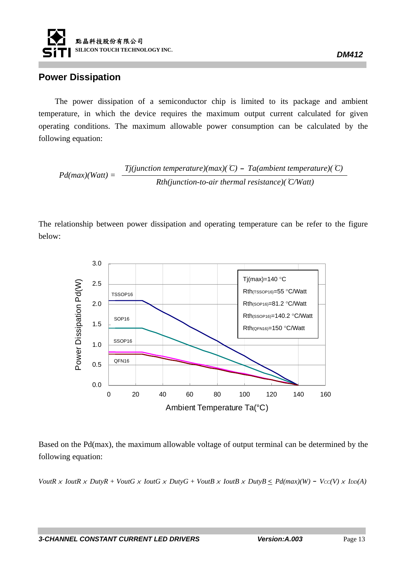

#### **Power Dissipation**

The power dissipation of a semiconductor chip is limited to its package and ambient temperature, in which the device requires the maximum output current calculated for given operating conditions. The maximum allowable power consumption can be calculated by the following equation:

*Pd(max)(Watt)* =  $\frac{Tj(junction temperature)(max)(°C) - Ta(ambient temperature)(°C)}{Pd(max)}$ *Rth(junction-to-air thermal resistance)(*°*C/Watt)*

The relationship between power dissipation and operating temperature can be refer to the figure below:



Based on the Pd(max), the maximum allowable voltage of output terminal can be determined by the following equation:

*VoutR*  $\times$  *IoutR*  $\times$  *DutyR + VoutG*  $\times$  *IoutG*  $\times$  *DutyG + VoutB*  $\times$  *IoutB*  $\times$  *DutyB*  $\leq$  *Pd(max)(W) - Vcc(V)*  $\times$  *Iop(A)* 

*DM412*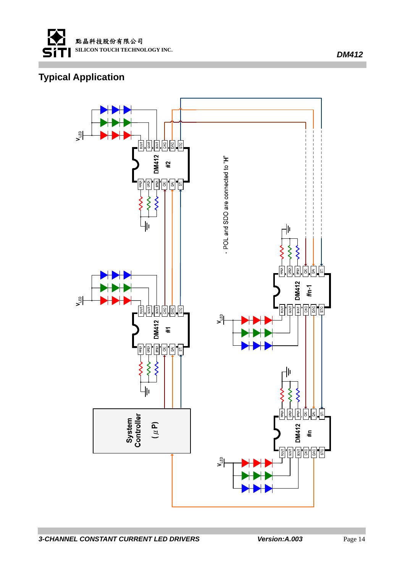

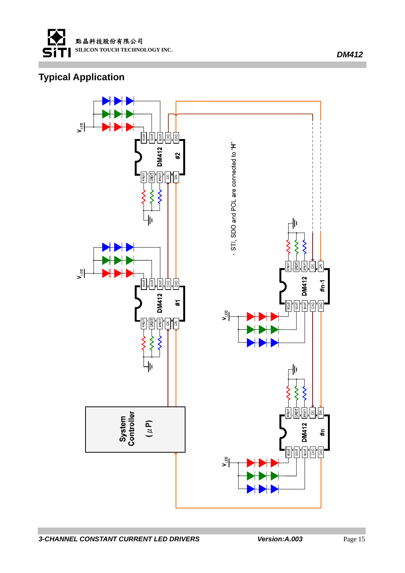

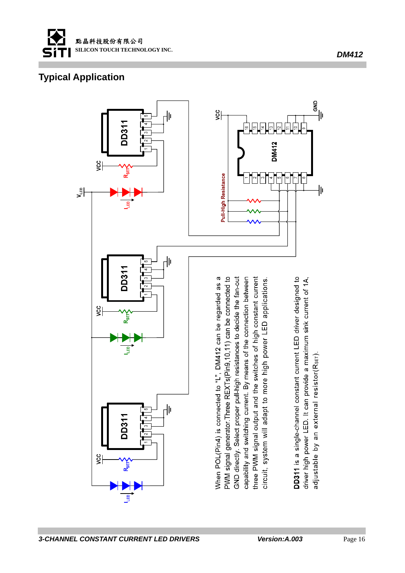

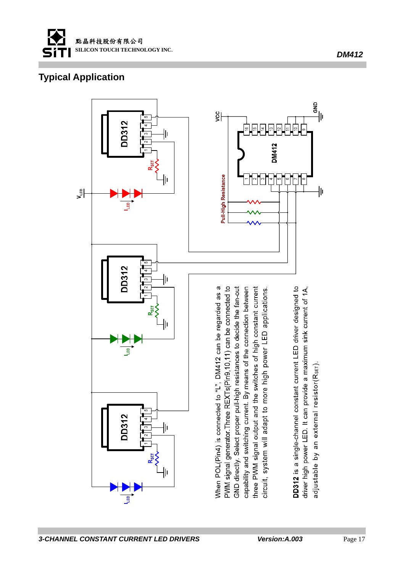

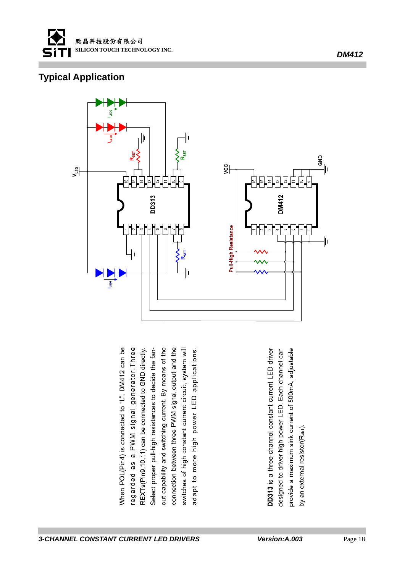



When POL(Pin4) is connected to "L", DM412 can be regarded as a PWM signal generator. Three out capability and switching current. By means of the connection between three PWM signal output and the Select proper pull-high resistances to decide the fanswitches of high constant current circuit, system will REXTs(Pin9,10,11) can be connected to GND directly. adapt to more high power LED applications.

DD313 is a three-channel constant current LED driver designed to driver high power LED. Each channel can provide a maximum sink current of 500mA, adjustable by an external resistor(RsET).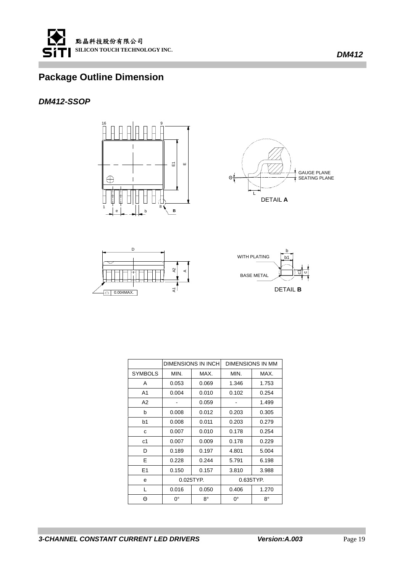

#### *DM412-SSOP*



GAUGE PLANE SEATING PLANE  $\Theta$ L DETAIL **A**



|                |              | <b>DIMENSIONS IN INCH</b> |             | DIMENSIONS IN MM |
|----------------|--------------|---------------------------|-------------|------------------|
| <b>SYMBOLS</b> | MIN.<br>MAX. |                           | MIN.        | MAX.             |
| A              | 0.053        | 0.069                     | 1.346       | 1.753            |
| A <sub>1</sub> | 0.004        | 0.010                     | 0.102       | 0.254            |
| A2             |              | 0.059                     |             | 1.499            |
| b              | 0.008        | 0.012                     | 0.203       | 0.305            |
| b1             | 0.008        | 0.011                     | 0.203       | 0.279            |
| C              | 0.007        | 0.010                     | 0.178       | 0.254            |
| c1             | 0.007        | 0.009                     | 0.178       | 0.229            |
| D              | 0.189        | 0.197                     | 4.801       | 5.004            |
| E              | 0.228        | 0.244                     | 5.791       | 6.198            |
| E1             | 0.150        | 0.157                     | 3.810       | 3.988            |
| e              | 0.025TYP.    |                           |             | 0.635TYP.        |
| L              | 0.016        | 0.050                     | 0.406       | 1.270            |
| Θ              | $0^{\circ}$  | 8°                        | $0^{\circ}$ | 8°               |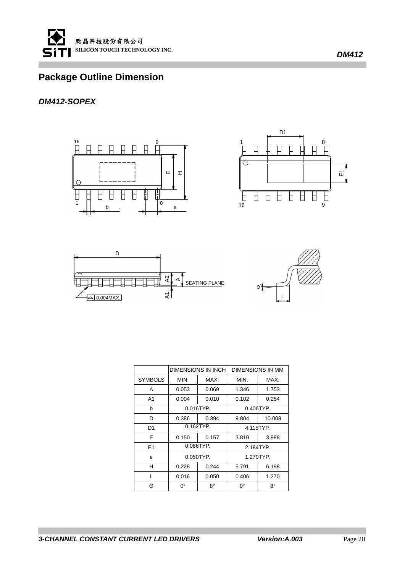

#### *DM412-SOPEX*









|                |           | <b>DIMENSIONS IN INCH</b> |           | <b>DIMENSIONS IN MM</b> |
|----------------|-----------|---------------------------|-----------|-------------------------|
| <b>SYMBOLS</b> | MIN.      | MAX.                      |           | MAX.                    |
| A              | 0.053     | 0.069                     | 1.346     | 1.753                   |
| A <sub>1</sub> | 0.004     | 0.010                     | 0.102     | 0.254                   |
| b              |           | $0.016$ TYP.              |           | $0.406$ TYP.            |
| D              | 0.386     | 0.394                     | 9.804     | 10.008                  |
| D1             |           | $0.162$ TYP.              | 4.115TYP. |                         |
| F              | 0.150     | 0.157                     | 3.810     | 3.988                   |
| E1             |           | $0.086$ TYP.              | 2.184TYP. |                         |
| e              | 0.050TYP. |                           |           | 1.270TYP.               |
| н              | 0.228     | 0.244                     | 5.791     | 6.198                   |
| L              | 0.016     | 0.050                     | 0.406     | 1.270                   |
| Θ              | 0°        | 8°                        | 0°        | 8°                      |

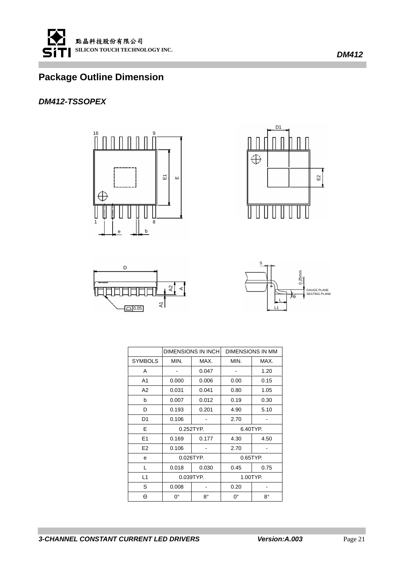

#### *DM412-TSSOPEX*









|                |             | <b>DIMENSIONS IN INCH</b> |             | <b>DIMENSIONS IN MM</b> |
|----------------|-------------|---------------------------|-------------|-------------------------|
| <b>SYMBOLS</b> | MIN.        | MAX.                      | MIN.        | MAX.                    |
| A              | ٠           | 0.047                     | -           | 1.20                    |
| A <sub>1</sub> | 0.000       | 0.006                     | 0.00        | 0.15                    |
| A <sub>2</sub> | 0.031       | 0.041                     | 0.80        | 1.05                    |
| b              | 0.007       | 0.012                     | 0.19        | 0.30                    |
| D              | 0.193       | 0.201                     | 4.90        | 5.10                    |
| D <sub>1</sub> | 0.106       |                           | 2.70        |                         |
| Е              |             | 0.252TYP.                 | 6.40TYP.    |                         |
| E1             | 0.169       | 0.177                     | 4.30        | 4.50                    |
| E <sub>2</sub> | 0.106       |                           | 2.70        |                         |
| e              | 0.026TYP.   |                           | 0.65TYP.    |                         |
| L              | 0.018       | 0.030                     | 0.45        | 0.75                    |
| L1             | 0.039TYP.   |                           |             | 1.00TYP.                |
| S              | 0.008       |                           | 0.20        |                         |
| Θ              | $0^{\circ}$ | 8°                        | $0^{\circ}$ | 8°                      |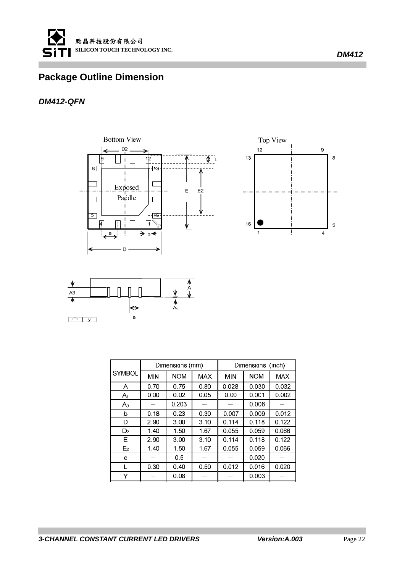

#### *DM412-QFN*







|                |            | Dimensions (mm) |            |            | Dimensions (inch) |       |
|----------------|------------|-----------------|------------|------------|-------------------|-------|
| <b>SYMBOL</b>  | <b>MIN</b> | <b>NOM</b>      | <b>MAX</b> | <b>MIN</b> | <b>NOM</b>        | MAX.  |
| A              | 0.70       | 0.75            | 0.80       | 0.028      | 0.030             | 0.032 |
| $A_1$          | 0.00       | 0.02            | 0.05       | 0.00       | 0.001             | 0.002 |
| $A_3$          |            | 0.203           |            |            | 0.008             |       |
| b              | 0.18       | 0.23            | 0.30       | 0.007      | 0.009             | 0.012 |
| D              | 2.90       | 3.00            | 3.10       | 0.114      | 0.118             | 0.122 |
| D <sub>2</sub> | 1.40       | 1.50            | 1.67       | 0.055      | 0.059             | 0.066 |
| Е              | 2.90       | 3.00            | 3.10       | 0.114      | 0.118             | 0.122 |
| E <sub>2</sub> | 1.40       | 1.50            | 1.67       | 0.055      | 0.059             | 0.066 |
| e              |            | 0.5             |            |            | 0.020             |       |
| L              | 0.30       | 0.40            | 0.50       | 0.012      | 0.016             | 0.020 |
|                |            | 0.08            |            |            | 0.003             |       |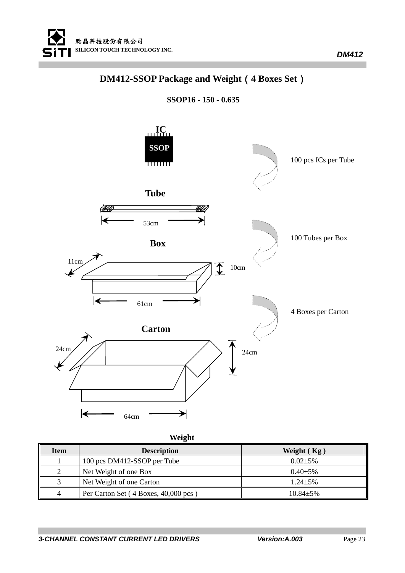

## **DM412-SSOP Package and Weight**(**4 Boxes Set**)

**SSOP16 - 150 - 0.635** 



| Item | <b>Description</b>                   | Weight $(Kg)$   |
|------|--------------------------------------|-----------------|
|      | 100 pcs DM412-SSOP per Tube          | $0.02 + 5\%$    |
| 2    | Net Weight of one Box                | $0.40 \pm 5\%$  |
|      | Net Weight of one Carton             | $1.24 + 5\%$    |
| 4    | Per Carton Set (4 Boxes, 40,000 pcs) | $10.84 \pm 5\%$ |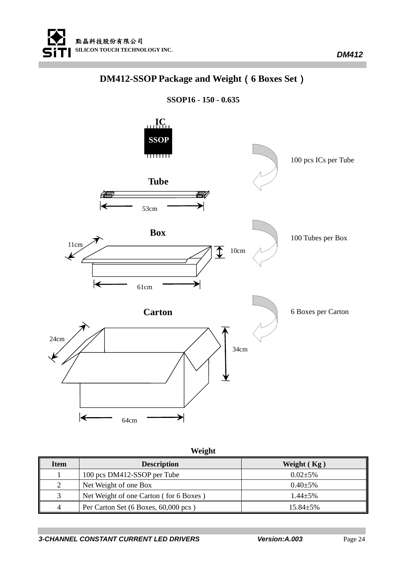

## **DM412-SSOP Package and Weight**(**6 Boxes Set**)

**SSOP16 - 150 - 0.635** 



| Item           | <b>Description</b>                     | Weight $(Kg)$   |
|----------------|----------------------------------------|-----------------|
|                | 100 pcs DM412-SSOP per Tube            | $0.02 + 5\%$    |
| $\overline{c}$ | Net Weight of one Box                  | $0.40 \pm 5\%$  |
| $\sim$         | Net Weight of one Carton (for 6 Boxes) | $1.44 \pm 5\%$  |
| 4              | Per Carton Set (6 Boxes, 60,000 pcs)   | $15.84 \pm 5\%$ |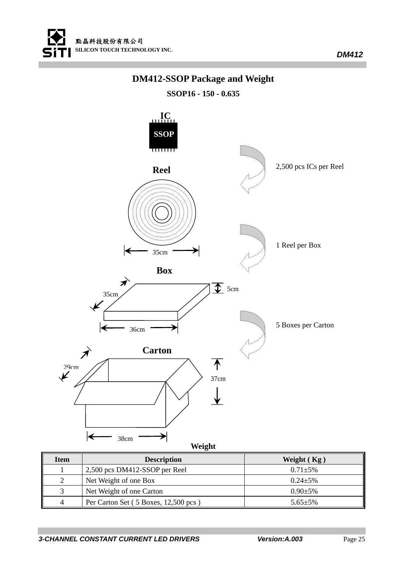

## **DM412-SSOP Package and Weight**

**SSOP16 - 150 - 0.635** 



| <b>Item</b> | <b>Description</b>                   | Weight $(Kg)$  |
|-------------|--------------------------------------|----------------|
|             | 2,500 pcs DM412-SSOP per Reel        | $0.71 + 5\%$   |
|             | Net Weight of one Box                | $0.24 + 5\%$   |
|             | Net Weight of one Carton             | $0.90 \pm 5\%$ |
|             | Per Carton Set (5 Boxes, 12,500 pcs) | $5.65 \pm 5\%$ |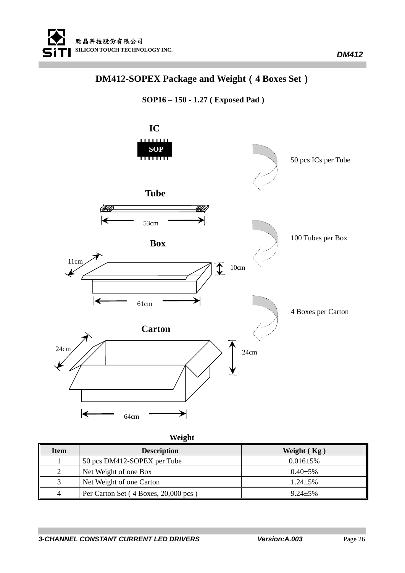

## **DM412-SOPEX Package and Weight**(**4 Boxes Set**)





| Item | <b>Description</b>                   | Weight $(Kg)$   |
|------|--------------------------------------|-----------------|
|      | 50 pcs DM412-SOPEX per Tube          | $0.016 \pm 5\%$ |
| 2    | Net Weight of one Box                | $0.40 \pm 5\%$  |
| 3    | Net Weight of one Carton             | $1.24 + 5\%$    |
| 4    | Per Carton Set (4 Boxes, 20,000 pcs) | $9.24 + 5\%$    |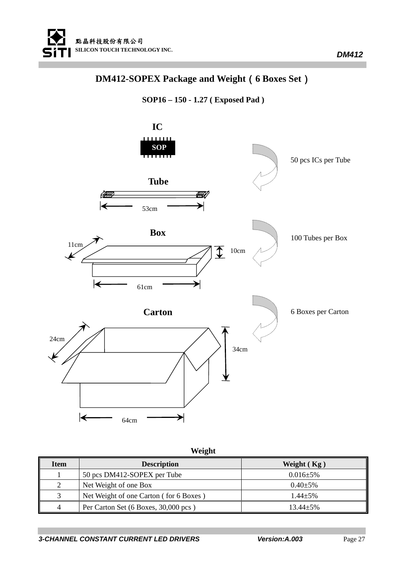

## **DM412-SOPEX Package and Weight**(**6 Boxes Set**)





| Item | <b>Description</b>                     | Weight $(Kg)$   |
|------|----------------------------------------|-----------------|
|      | 50 pcs DM412-SOPEX per Tube            | $0.016 \pm 5\%$ |
| 2    | Net Weight of one Box                  | $0.40 \pm 5\%$  |
|      | Net Weight of one Carton (for 6 Boxes) | $1.44 + 5\%$    |
| 4    | Per Carton Set (6 Boxes, 30,000 pcs)   | $13.44 \pm 5\%$ |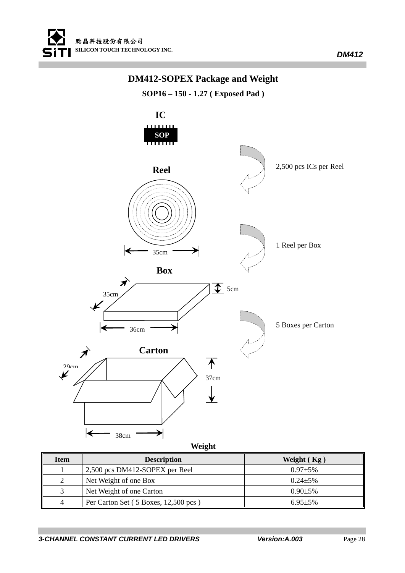

### **DM412-SOPEX Package and Weight**

**SOP16 – 150 - 1.27 ( Exposed Pad )** 



| <b>Item</b> | <b>Description</b>                   | Weight $(Kg)$ |
|-------------|--------------------------------------|---------------|
|             | 2,500 pcs DM412-SOPEX per Reel       | $0.97 + 5\%$  |
|             | Net Weight of one Box                | $0.24 + 5\%$  |
|             | Net Weight of one Carton             | $0.90 + 5\%$  |
| $\Delta$    | Per Carton Set (5 Boxes, 12,500 pcs) | $6.95 + 5\%$  |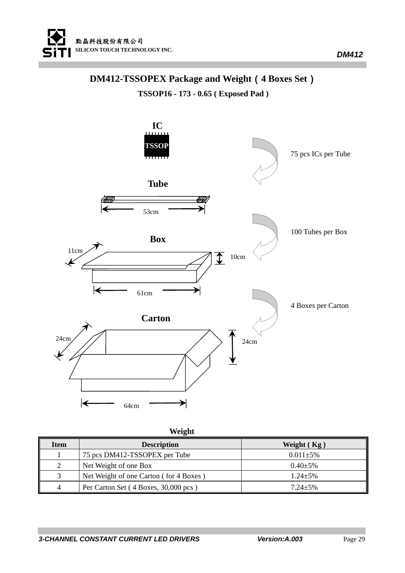

### **DM412-TSSOPEX Package and Weight**(**4 Boxes Set**)

**TSSOP16 - 173 - 0.65 ( Exposed Pad )** 



|  | Weight |
|--|--------|
|  |        |

| <b>Item</b> | <b>Description</b>                     | Weight $(Kg)$  |
|-------------|----------------------------------------|----------------|
|             | 75 pcs DM412-TSSOPEX per Tube          | $0.011 + 5\%$  |
|             | Net Weight of one Box                  | $0.40 \pm 5\%$ |
|             | Net Weight of one Carton (for 4 Boxes) | $1.24 + 5\%$   |
| 4           | Per Carton Set (4 Boxes, 30,000 pcs)   | $7.24 + 5\%$   |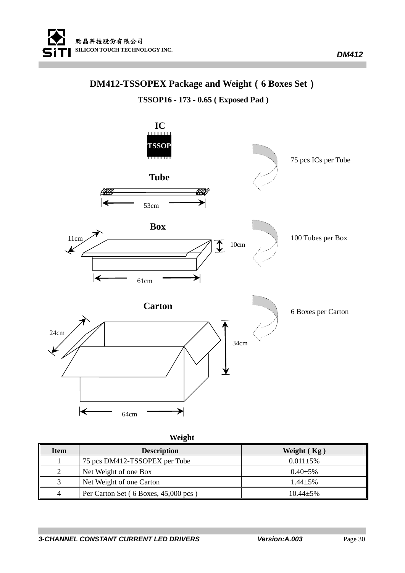

## **DM412-TSSOPEX Package and Weight**(**6 Boxes Set**)

**TSSOP16 - 173 - 0.65 ( Exposed Pad )** 



| Item | <b>Description</b>                   | Weight $(Kg)$   |
|------|--------------------------------------|-----------------|
|      | 75 pcs DM412-TSSOPEX per Tube        | $0.011 \pm 5\%$ |
| 2    | Net Weight of one Box                | $0.40 \pm 5\%$  |
| 3    | Net Weight of one Carton             | $1.44 + 5\%$    |
| 4    | Per Carton Set (6 Boxes, 45,000 pcs) | $10.44 + 5\%$   |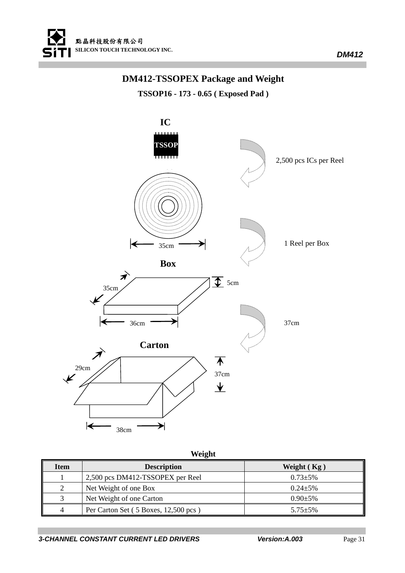

### **DM412-TSSOPEX Package and Weight**

**TSSOP16 - 173 - 0.65 ( Exposed Pad )** 



| <b>Item</b> | <b>Description</b>                   | Weight $(Kg)$  |
|-------------|--------------------------------------|----------------|
|             | 2,500 pcs DM412-TSSOPEX per Reel     | $0.73 + 5\%$   |
|             | Net Weight of one Box                | $0.24 + 5\%$   |
|             | Net Weight of one Carton             | $0.90 \pm 5\%$ |
| 4           | Per Carton Set (5 Boxes, 12,500 pcs) | $5.75 \pm 5\%$ |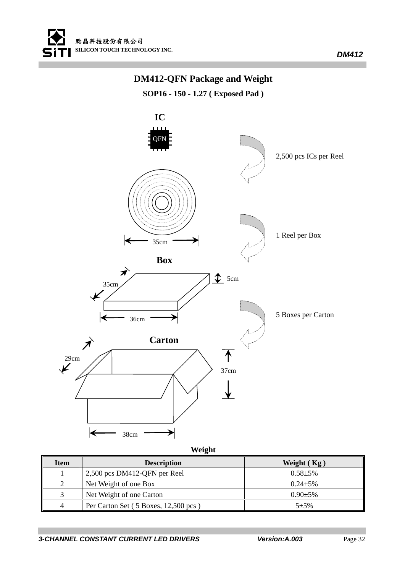

### **DM412-QFN Package and Weight**

**SOP16 - 150 - 1.27 ( Exposed Pad )** 



| <b>Item</b>    | <b>Description</b>                   | Weight $(Kg)$  |
|----------------|--------------------------------------|----------------|
|                | 2,500 pcs DM412-QFN per Reel         | $0.58 + 5\%$   |
| $\overline{c}$ | Net Weight of one Box                | $0.24 + 5\%$   |
| 3              | Net Weight of one Carton             | $0.90 \pm 5\%$ |
| 4              | Per Carton Set (5 Boxes, 12,500 pcs) | $5 + 5%$       |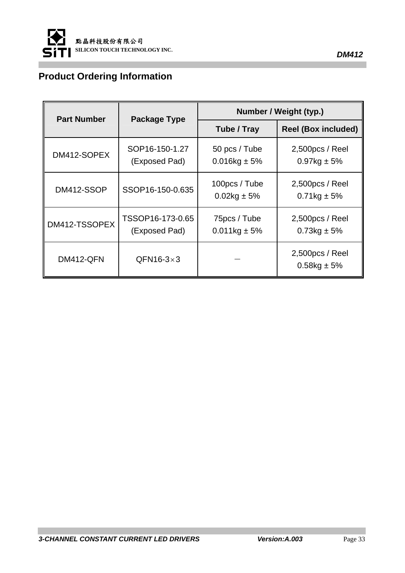

## **Product Ordering Information**

| <b>Part Number</b> | <b>Package Type</b>               | Number / Weight (typ.)           |                                   |
|--------------------|-----------------------------------|----------------------------------|-----------------------------------|
|                    |                                   | Tube / Tray                      | <b>Reel (Box included)</b>        |
| DM412-SOPEX        | SOP16-150-1.27<br>(Exposed Pad)   | 50 pcs / Tube<br>$0.016$ kg ± 5% | 2,500pcs / Reel<br>$0.97$ kg ± 5% |
| DM412-SSOP         | SSOP16-150-0.635                  | 100pcs / Tube<br>$0.02$ kg ± 5%  | 2,500pcs / Reel<br>$0.71$ kg ± 5% |
| DM412-TSSOPEX      | TSSOP16-173-0.65<br>(Exposed Pad) | 75pcs / Tube<br>$0.011$ kg ± 5%  | 2,500pcs / Reel<br>$0.73$ kg ± 5% |
| DM412-QFN          | $QFN16-3\times3$                  |                                  | 2,500pcs / Reel<br>$0.58$ kg ± 5% |